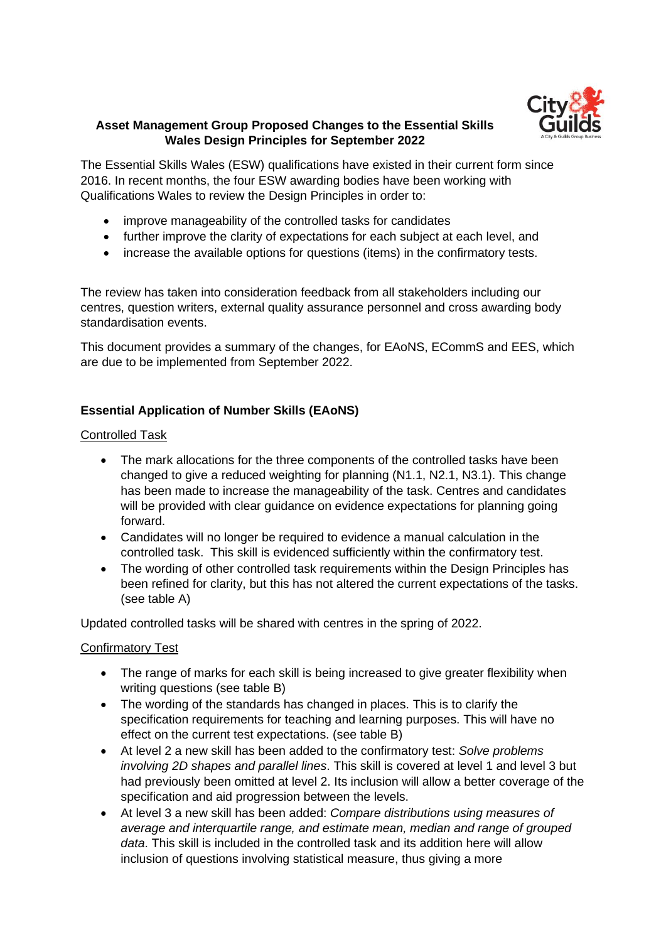

### **Asset Management Group Proposed Changes to the Essential Skills Wales Design Principles for September 2022**

The Essential Skills Wales (ESW) qualifications have existed in their current form since 2016. In recent months, the four ESW awarding bodies have been working with Qualifications Wales to review the Design Principles in order to:

- improve manageability of the controlled tasks for candidates
- further improve the clarity of expectations for each subject at each level, and
- increase the available options for questions (items) in the confirmatory tests.

The review has taken into consideration feedback from all stakeholders including our centres, question writers, external quality assurance personnel and cross awarding body standardisation events.

This document provides a summary of the changes, for EAoNS, ECommS and EES, which are due to be implemented from September 2022.

### **Essential Application of Number Skills (EAoNS)**

#### Controlled Task

- The mark allocations for the three components of the controlled tasks have been changed to give a reduced weighting for planning (N1.1, N2.1, N3.1). This change has been made to increase the manageability of the task. Centres and candidates will be provided with clear guidance on evidence expectations for planning going forward.
- Candidates will no longer be required to evidence a manual calculation in the controlled task. This skill is evidenced sufficiently within the confirmatory test.
- The wording of other controlled task requirements within the Design Principles has been refined for clarity, but this has not altered the current expectations of the tasks. (see table A)

Updated controlled tasks will be shared with centres in the spring of 2022.

#### Confirmatory Test

- The range of marks for each skill is being increased to give greater flexibility when writing questions (see table B)
- The wording of the standards has changed in places. This is to clarify the specification requirements for teaching and learning purposes. This will have no effect on the current test expectations. (see table B)
- At level 2 a new skill has been added to the confirmatory test: *Solve problems involving 2D shapes and parallel lines*. This skill is covered at level 1 and level 3 but had previously been omitted at level 2. Its inclusion will allow a better coverage of the specification and aid progression between the levels.
- At level 3 a new skill has been added: *Compare distributions using measures of average and interquartile range, and estimate mean, median and range of grouped data*. This skill is included in the controlled task and its addition here will allow inclusion of questions involving statistical measure, thus giving a more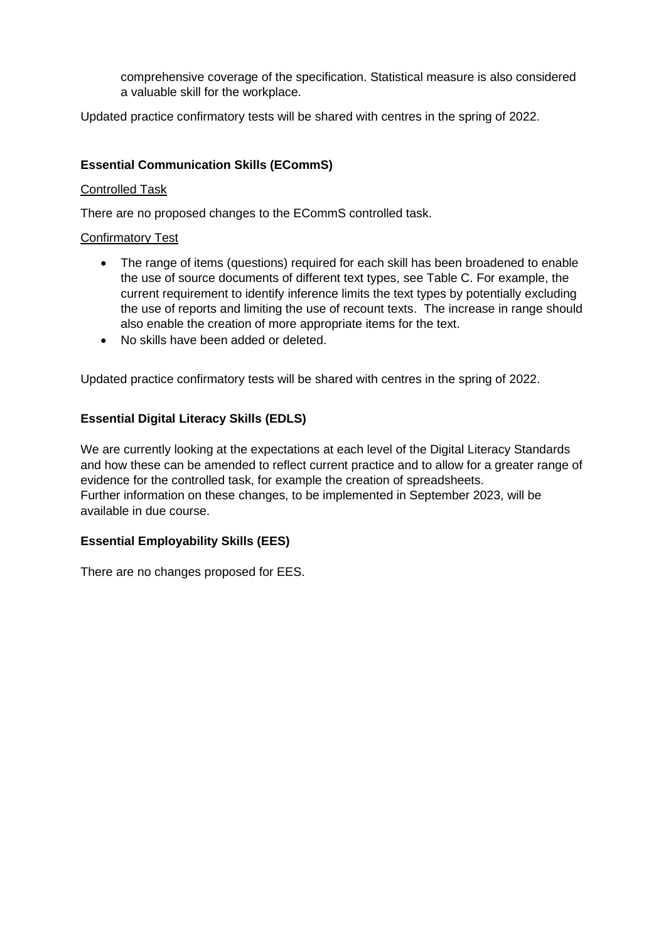comprehensive coverage of the specification. Statistical measure is also considered a valuable skill for the workplace.

Updated practice confirmatory tests will be shared with centres in the spring of 2022.

#### **Essential Communication Skills (ECommS)**

#### Controlled Task

There are no proposed changes to the ECommS controlled task.

#### Confirmatory Test

- The range of items (questions) required for each skill has been broadened to enable the use of source documents of different text types, see Table C. For example, the current requirement to identify inference limits the text types by potentially excluding the use of reports and limiting the use of recount texts. The increase in range should also enable the creation of more appropriate items for the text.
- No skills have been added or deleted.

Updated practice confirmatory tests will be shared with centres in the spring of 2022.

#### **Essential Digital Literacy Skills (EDLS)**

We are currently looking at the expectations at each level of the Digital Literacy Standards and how these can be amended to reflect current practice and to allow for a greater range of evidence for the controlled task, for example the creation of spreadsheets. Further information on these changes, to be implemented in September 2023, will be available in due course.

#### **Essential Employability Skills (EES)**

There are no changes proposed for EES.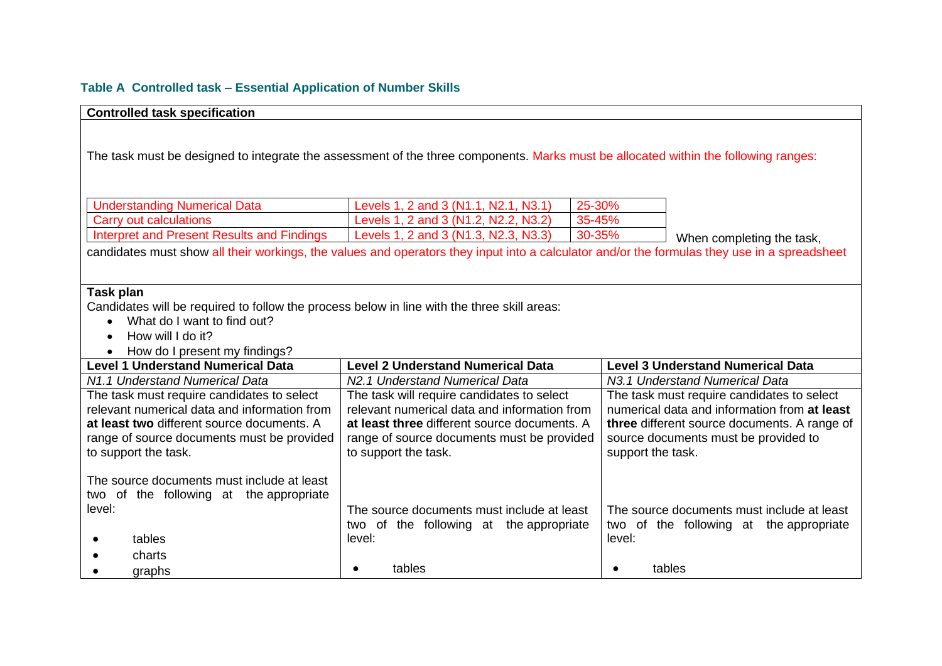# **Table A Controlled task – Essential Application of Number Skills**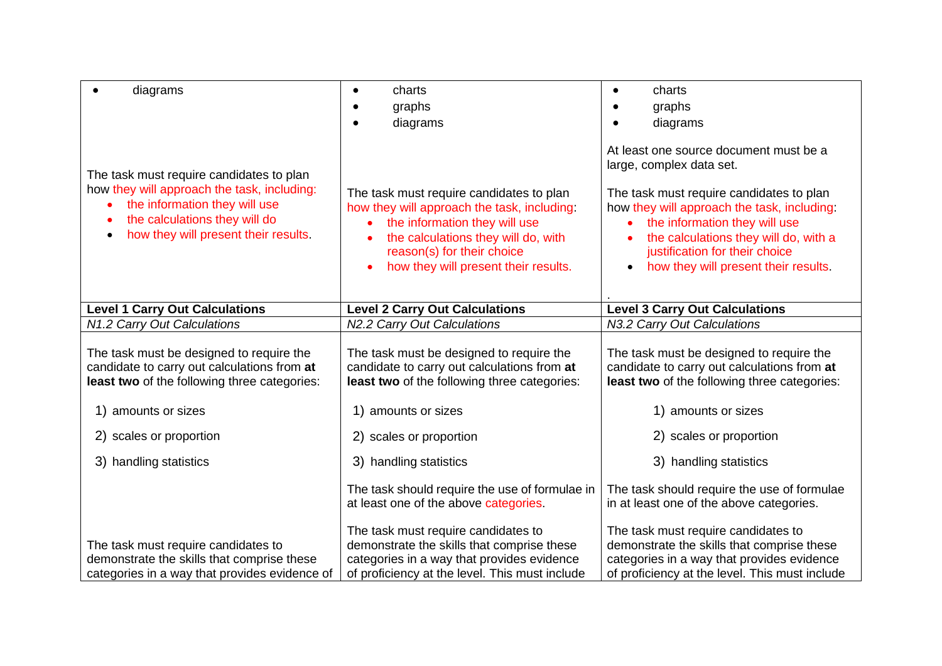| diagrams                                                                                                                                                                                          | charts<br>٠<br>graphs<br>diagrams                                                                                                                                                                                                     | charts<br>graphs<br>diagrams                                                                                                                                                                                                                                                                                                   |
|---------------------------------------------------------------------------------------------------------------------------------------------------------------------------------------------------|---------------------------------------------------------------------------------------------------------------------------------------------------------------------------------------------------------------------------------------|--------------------------------------------------------------------------------------------------------------------------------------------------------------------------------------------------------------------------------------------------------------------------------------------------------------------------------|
| The task must require candidates to plan<br>how they will approach the task, including:<br>the information they will use<br>the calculations they will do<br>how they will present their results. | The task must require candidates to plan<br>how they will approach the task, including:<br>the information they will use<br>the calculations they will do, with<br>reason(s) for their choice<br>how they will present their results. | At least one source document must be a<br>large, complex data set.<br>The task must require candidates to plan<br>how they will approach the task, including:<br>the information they will use<br>the calculations they will do, with a<br>justification for their choice<br>how they will present their results.<br>$\bullet$ |
| <b>Level 1 Carry Out Calculations</b>                                                                                                                                                             | <b>Level 2 Carry Out Calculations</b>                                                                                                                                                                                                 | <b>Level 3 Carry Out Calculations</b>                                                                                                                                                                                                                                                                                          |
| N1.2 Carry Out Calculations                                                                                                                                                                       | N2.2 Carry Out Calculations                                                                                                                                                                                                           | N3.2 Carry Out Calculations                                                                                                                                                                                                                                                                                                    |
| The task must be designed to require the<br>candidate to carry out calculations from at<br>least two of the following three categories:                                                           | The task must be designed to require the<br>candidate to carry out calculations from at<br>least two of the following three categories:                                                                                               | The task must be designed to require the<br>candidate to carry out calculations from at<br>least two of the following three categories:                                                                                                                                                                                        |
| 1) amounts or sizes                                                                                                                                                                               | 1) amounts or sizes                                                                                                                                                                                                                   | 1) amounts or sizes                                                                                                                                                                                                                                                                                                            |
| 2) scales or proportion                                                                                                                                                                           | 2) scales or proportion                                                                                                                                                                                                               | 2) scales or proportion                                                                                                                                                                                                                                                                                                        |
| 3) handling statistics                                                                                                                                                                            | 3) handling statistics                                                                                                                                                                                                                | 3) handling statistics                                                                                                                                                                                                                                                                                                         |
|                                                                                                                                                                                                   | The task should require the use of formulae in<br>at least one of the above categories.                                                                                                                                               | The task should require the use of formulae<br>in at least one of the above categories.                                                                                                                                                                                                                                        |
| The task must require candidates to<br>demonstrate the skills that comprise these<br>categories in a way that provides evidence of                                                                | The task must require candidates to<br>demonstrate the skills that comprise these<br>categories in a way that provides evidence<br>of proficiency at the level. This must include                                                     | The task must require candidates to<br>demonstrate the skills that comprise these<br>categories in a way that provides evidence<br>of proficiency at the level. This must include                                                                                                                                              |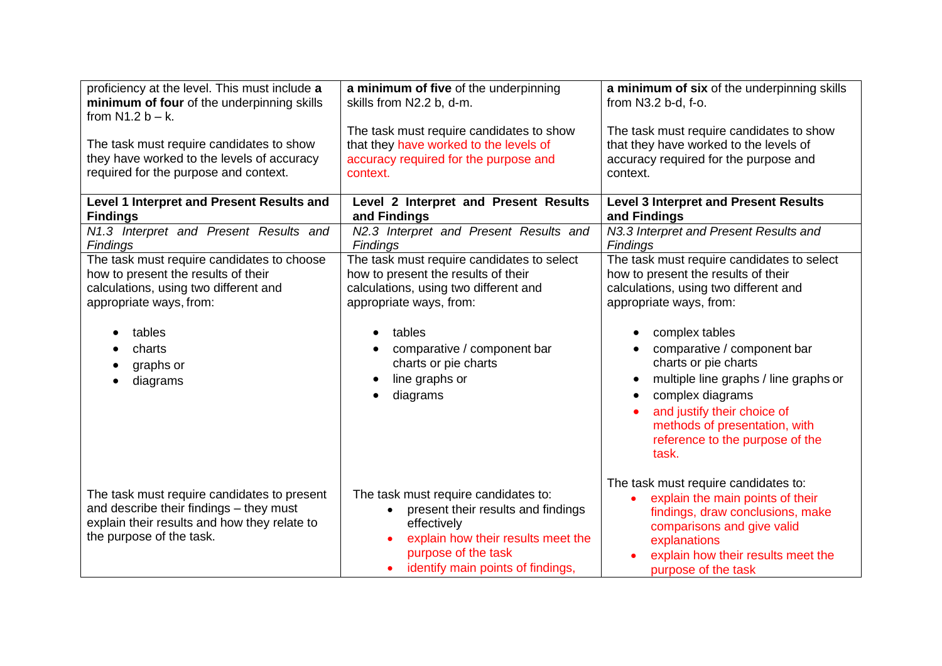| proficiency at the level. This must include a                                                                                                                                                      | a minimum of five of the underpinning                                                                                                                                                                                                                | a minimum of six of the underpinning skills                                                                                                                                                                                                                                                                                                                                                             |
|----------------------------------------------------------------------------------------------------------------------------------------------------------------------------------------------------|------------------------------------------------------------------------------------------------------------------------------------------------------------------------------------------------------------------------------------------------------|---------------------------------------------------------------------------------------------------------------------------------------------------------------------------------------------------------------------------------------------------------------------------------------------------------------------------------------------------------------------------------------------------------|
| minimum of four of the underpinning skills                                                                                                                                                         | skills from N2.2 b, d-m.                                                                                                                                                                                                                             | from N3.2 b-d, f-o.                                                                                                                                                                                                                                                                                                                                                                                     |
| from $N1.2 b - k$ .                                                                                                                                                                                | The task must require candidates to show                                                                                                                                                                                                             | The task must require candidates to show                                                                                                                                                                                                                                                                                                                                                                |
| The task must require candidates to show                                                                                                                                                           | that they have worked to the levels of                                                                                                                                                                                                               | that they have worked to the levels of                                                                                                                                                                                                                                                                                                                                                                  |
| they have worked to the levels of accuracy                                                                                                                                                         | accuracy required for the purpose and                                                                                                                                                                                                                | accuracy required for the purpose and                                                                                                                                                                                                                                                                                                                                                                   |
| required for the purpose and context.                                                                                                                                                              | context.                                                                                                                                                                                                                                             | context.                                                                                                                                                                                                                                                                                                                                                                                                |
| Level 1 Interpret and Present Results and                                                                                                                                                          | Level 2 Interpret and Present Results                                                                                                                                                                                                                | <b>Level 3 Interpret and Present Results</b>                                                                                                                                                                                                                                                                                                                                                            |
| <b>Findings</b>                                                                                                                                                                                    | and Findings                                                                                                                                                                                                                                         | and Findings                                                                                                                                                                                                                                                                                                                                                                                            |
| N1.3 Interpret and Present Results and                                                                                                                                                             | N2.3 Interpret and Present Results and                                                                                                                                                                                                               | N3.3 Interpret and Present Results and                                                                                                                                                                                                                                                                                                                                                                  |
| <b>Findings</b>                                                                                                                                                                                    | <b>Findings</b>                                                                                                                                                                                                                                      | <b>Findings</b>                                                                                                                                                                                                                                                                                                                                                                                         |
| The task must require candidates to choose<br>how to present the results of their<br>calculations, using two different and<br>appropriate ways, from:<br>tables<br>charts<br>graphs or<br>diagrams | The task must require candidates to select<br>how to present the results of their<br>calculations, using two different and<br>appropriate ways, from:<br>tables<br>comparative / component bar<br>charts or pie charts<br>line graphs or<br>diagrams | The task must require candidates to select<br>how to present the results of their<br>calculations, using two different and<br>appropriate ways, from:<br>complex tables<br>comparative / component bar<br>charts or pie charts<br>multiple line graphs / line graphs or<br>complex diagrams<br>and justify their choice of<br>methods of presentation, with<br>reference to the purpose of the<br>task. |
| The task must require candidates to present<br>and describe their findings - they must<br>explain their results and how they relate to<br>the purpose of the task.                                 | The task must require candidates to:<br>present their results and findings<br>effectively<br>explain how their results meet the<br>purpose of the task<br>identify main points of findings,                                                          | The task must require candidates to:<br>explain the main points of their<br>findings, draw conclusions, make<br>comparisons and give valid<br>explanations<br>explain how their results meet the<br>purpose of the task                                                                                                                                                                                 |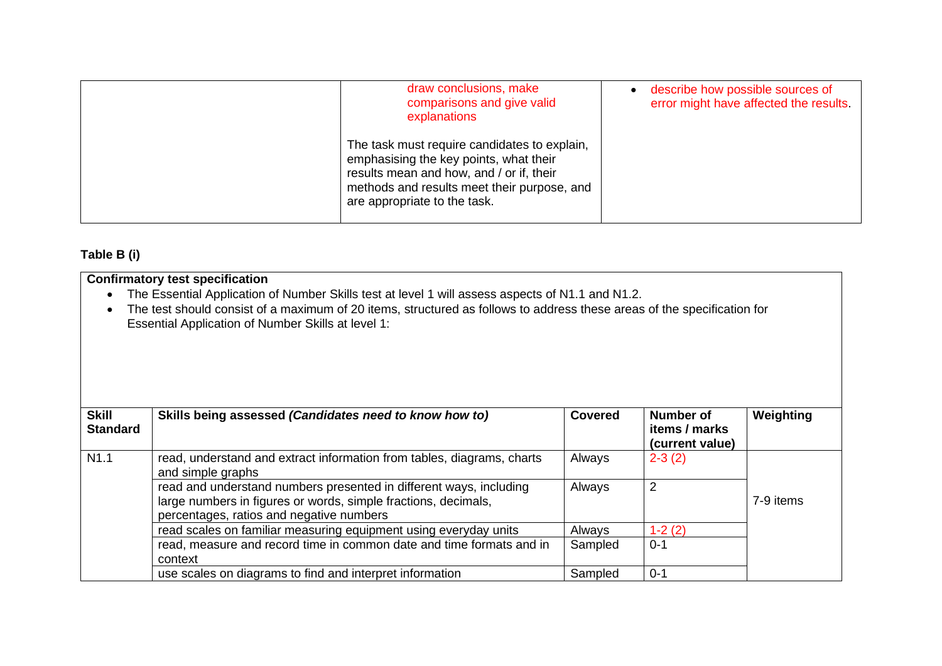| draw conclusions, make<br>comparisons and give valid<br>explanations                                                                                                                                              | describe how possible sources of<br>error might have affected the results. |
|-------------------------------------------------------------------------------------------------------------------------------------------------------------------------------------------------------------------|----------------------------------------------------------------------------|
| The task must require candidates to explain,<br>emphasising the key points, what their<br>results mean and how, and / or if, their<br>methods and results meet their purpose, and<br>are appropriate to the task. |                                                                            |

# **Table B (i)**

|                                 | <b>Confirmatory test specification</b>                                                                                                                                                                                                                                            |                |                                               |           |
|---------------------------------|-----------------------------------------------------------------------------------------------------------------------------------------------------------------------------------------------------------------------------------------------------------------------------------|----------------|-----------------------------------------------|-----------|
|                                 | The Essential Application of Number Skills test at level 1 will assess aspects of N1.1 and N1.2.<br>The test should consist of a maximum of 20 items, structured as follows to address these areas of the specification for<br>Essential Application of Number Skills at level 1: |                |                                               |           |
| <b>Skill</b><br><b>Standard</b> | Skills being assessed (Candidates need to know how to)                                                                                                                                                                                                                            | <b>Covered</b> | Number of<br>items / marks<br>(current value) | Weighting |
| N1.1                            | read, understand and extract information from tables, diagrams, charts<br>and simple graphs                                                                                                                                                                                       | Always         | $2 - 3(2)$                                    |           |
|                                 | read and understand numbers presented in different ways, including<br>large numbers in figures or words, simple fractions, decimals,<br>percentages, ratios and negative numbers                                                                                                  | Always         | $\overline{2}$                                | 7-9 items |
|                                 | read scales on familiar measuring equipment using everyday units                                                                                                                                                                                                                  | Always         | $1-2(2)$                                      |           |
|                                 | read, measure and record time in common date and time formats and in<br>context                                                                                                                                                                                                   | Sampled        | $0 - 1$                                       |           |
|                                 | use scales on diagrams to find and interpret information                                                                                                                                                                                                                          | Sampled        | $0 - 1$                                       |           |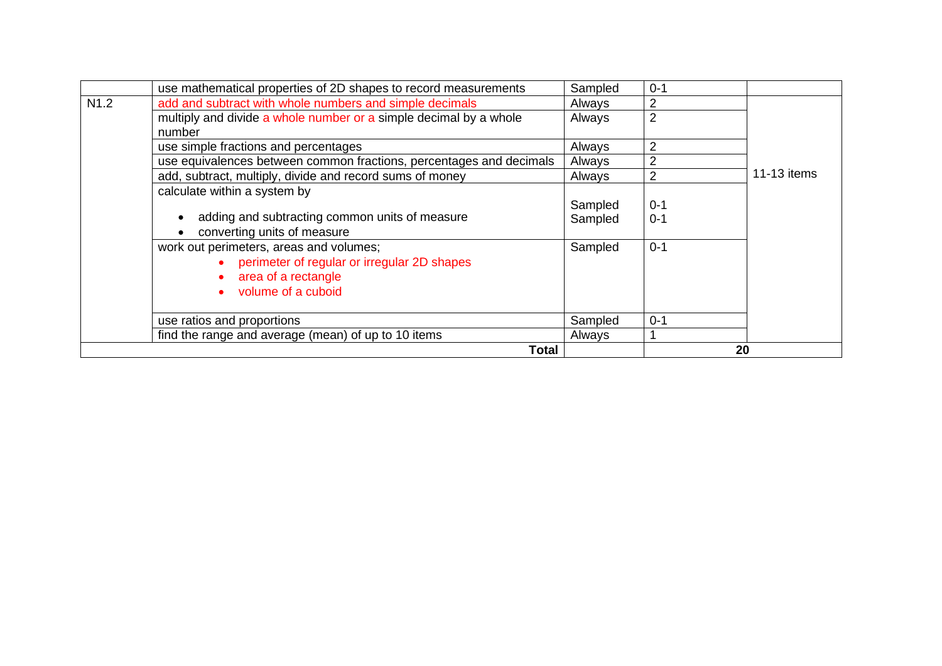|                  | use mathematical properties of 2D shapes to record measurements     | Sampled | $0 - 1$ |             |
|------------------|---------------------------------------------------------------------|---------|---------|-------------|
| N <sub>1.2</sub> | add and subtract with whole numbers and simple decimals             | Always  | 2       |             |
|                  | multiply and divide a whole number or a simple decimal by a whole   | Always  | 2       |             |
|                  | number                                                              |         |         |             |
|                  | use simple fractions and percentages                                | Always  | 2       |             |
|                  | use equivalences between common fractions, percentages and decimals | Always  | 2       |             |
|                  | add, subtract, multiply, divide and record sums of money            | Always  | 2       | 11-13 items |
|                  | calculate within a system by                                        |         |         |             |
|                  |                                                                     | Sampled | $0 - 1$ |             |
|                  | adding and subtracting common units of measure                      | Sampled | $0 - 1$ |             |
|                  | converting units of measure                                         |         |         |             |
|                  | work out perimeters, areas and volumes;                             | Sampled | $0 - 1$ |             |
|                  | • perimeter of regular or irregular 2D shapes                       |         |         |             |
|                  | • area of a rectangle                                               |         |         |             |
|                  | volume of a cuboid                                                  |         |         |             |
|                  |                                                                     |         |         |             |
|                  | use ratios and proportions                                          | Sampled | $0 - 1$ |             |
|                  | find the range and average (mean) of up to 10 items                 | Always  |         |             |
|                  | Total                                                               |         | 20      |             |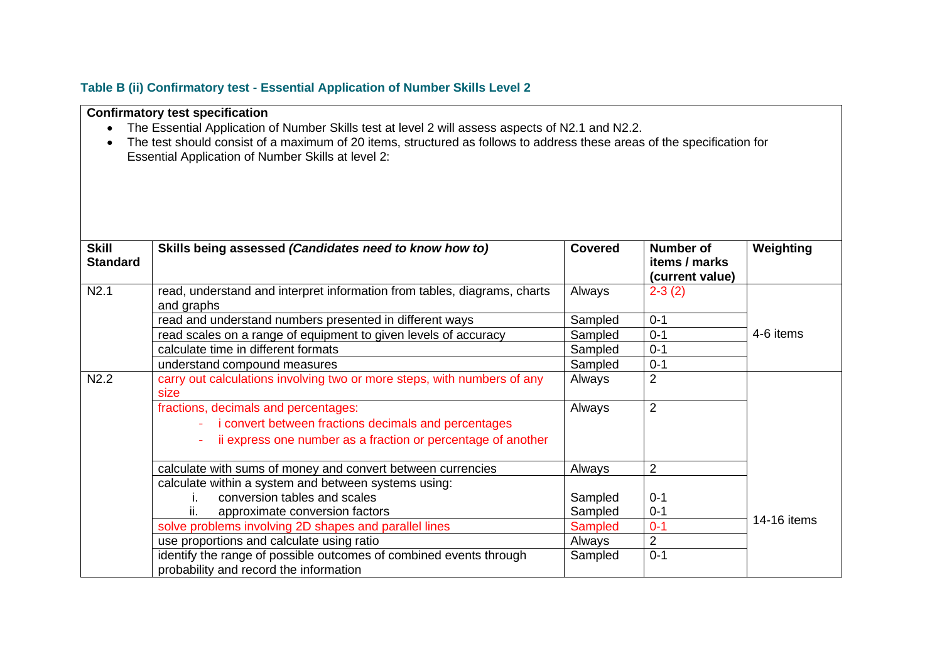## **Table B (ii) Confirmatory test - Essential Application of Number Skills Level 2**

|                                 | <b>Confirmatory test specification</b><br>The Essential Application of Number Skills test at level 2 will assess aspects of N2.1 and N2.2.<br>The test should consist of a maximum of 20 items, structured as follows to address these areas of the specification for<br>Essential Application of Number Skills at level 2: |                |                                                      |             |
|---------------------------------|-----------------------------------------------------------------------------------------------------------------------------------------------------------------------------------------------------------------------------------------------------------------------------------------------------------------------------|----------------|------------------------------------------------------|-------------|
| <b>Skill</b><br><b>Standard</b> | Skills being assessed (Candidates need to know how to)                                                                                                                                                                                                                                                                      | <b>Covered</b> | <b>Number of</b><br>items / marks<br>(current value) | Weighting   |
| N2.1                            | read, understand and interpret information from tables, diagrams, charts<br>and graphs                                                                                                                                                                                                                                      | Always         | $2 - 3(2)$                                           |             |
|                                 | read and understand numbers presented in different ways                                                                                                                                                                                                                                                                     | Sampled        | $0 - 1$                                              |             |
|                                 | read scales on a range of equipment to given levels of accuracy                                                                                                                                                                                                                                                             | Sampled        | $0 - 1$                                              | 4-6 items   |
|                                 | calculate time in different formats                                                                                                                                                                                                                                                                                         | Sampled        | $0 - 1$                                              |             |
|                                 | understand compound measures                                                                                                                                                                                                                                                                                                | Sampled        | $0 - 1$                                              |             |
| N2.2                            | carry out calculations involving two or more steps, with numbers of any<br>size                                                                                                                                                                                                                                             | Always         | $\overline{2}$                                       |             |
|                                 | fractions, decimals and percentages:<br>i convert between fractions decimals and percentages<br>ii express one number as a fraction or percentage of another                                                                                                                                                                | Always         | 2                                                    |             |
|                                 | calculate with sums of money and convert between currencies                                                                                                                                                                                                                                                                 | Always         | $\overline{2}$                                       |             |
|                                 | calculate within a system and between systems using:                                                                                                                                                                                                                                                                        |                |                                                      |             |
|                                 | conversion tables and scales<br>L.                                                                                                                                                                                                                                                                                          | Sampled        | $0 - 1$                                              |             |
|                                 | ii.<br>approximate conversion factors                                                                                                                                                                                                                                                                                       | Sampled        | $0 - 1$                                              |             |
|                                 | solve problems involving 2D shapes and parallel lines                                                                                                                                                                                                                                                                       | Sampled        | $0 - 1$                                              | 14-16 items |
|                                 | use proportions and calculate using ratio                                                                                                                                                                                                                                                                                   | Always         | $\overline{2}$                                       |             |
|                                 | identify the range of possible outcomes of combined events through<br>probability and record the information                                                                                                                                                                                                                | Sampled        | $0 - 1$                                              |             |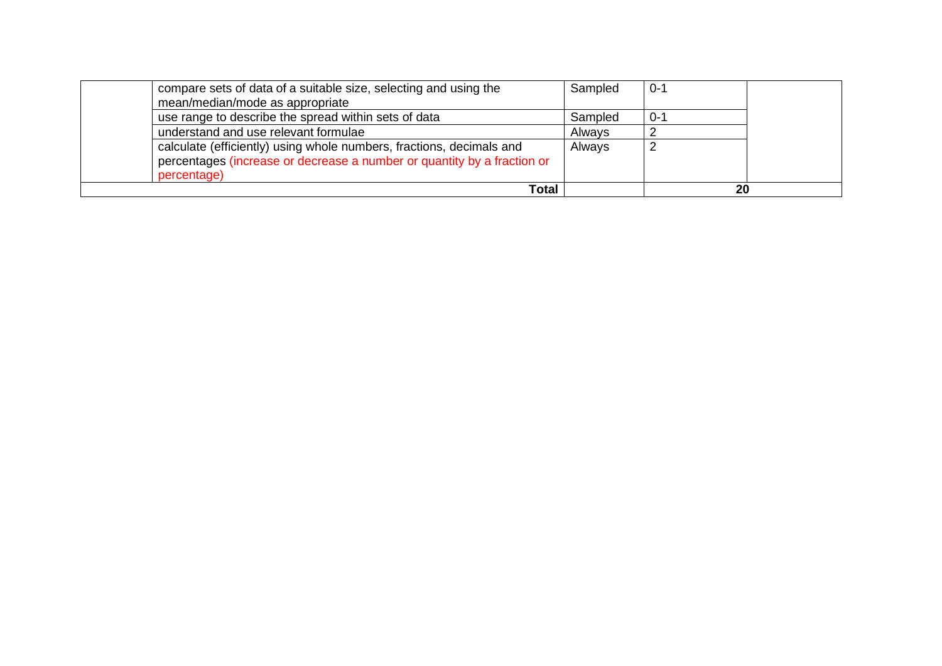| compare sets of data of a suitable size, selecting and using the        | Sampled | $0 - 1$ |  |
|-------------------------------------------------------------------------|---------|---------|--|
| mean/median/mode as appropriate                                         |         |         |  |
| use range to describe the spread within sets of data                    | Sampled | $0-$    |  |
| understand and use relevant formulae                                    | Always  |         |  |
| calculate (efficiently) using whole numbers, fractions, decimals and    | Always  |         |  |
| percentages (increase or decrease a number or quantity by a fraction or |         |         |  |
| percentage)                                                             |         |         |  |
| Total                                                                   |         | 20      |  |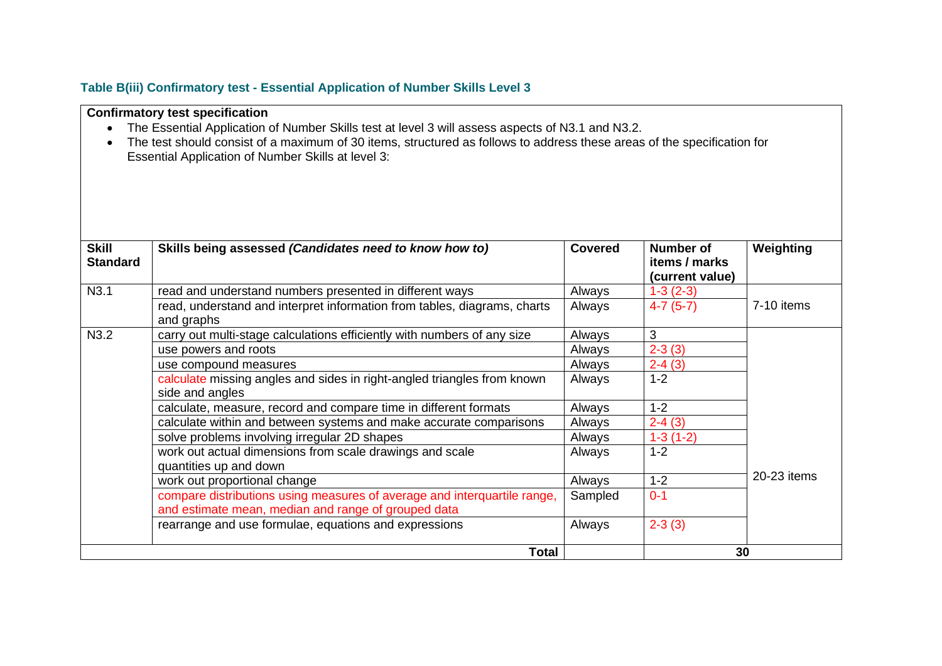## **Table B(iii) Confirmatory test - Essential Application of Number Skills Level 3**

**Confirmatory test specification**

| The Essential Application of Number Skills test at level 3 will assess aspects of N3.1 and N3.2.<br>The test should consist of a maximum of 30 items, structured as follows to address these areas of the specification for<br>Essential Application of Number Skills at level 3: |                                                                                                                                 |                |                                  |             |
|-----------------------------------------------------------------------------------------------------------------------------------------------------------------------------------------------------------------------------------------------------------------------------------|---------------------------------------------------------------------------------------------------------------------------------|----------------|----------------------------------|-------------|
| <b>Skill</b>                                                                                                                                                                                                                                                                      | Skills being assessed (Candidates need to know how to)                                                                          | <b>Covered</b> | Number of                        | Weighting   |
| <b>Standard</b>                                                                                                                                                                                                                                                                   |                                                                                                                                 |                | items / marks<br>(current value) |             |
| N3.1                                                                                                                                                                                                                                                                              | read and understand numbers presented in different ways                                                                         | Always         | $1-3(2-3)$                       |             |
|                                                                                                                                                                                                                                                                                   | read, understand and interpret information from tables, diagrams, charts<br>and graphs                                          | Always         | $4-7(5-7)$                       | 7-10 items  |
| N3.2                                                                                                                                                                                                                                                                              | carry out multi-stage calculations efficiently with numbers of any size                                                         | Always         | 3                                |             |
|                                                                                                                                                                                                                                                                                   | use powers and roots                                                                                                            | Always         | $2-3(3)$                         |             |
|                                                                                                                                                                                                                                                                                   | use compound measures                                                                                                           | Always         | $2-4(3)$                         |             |
|                                                                                                                                                                                                                                                                                   | calculate missing angles and sides in right-angled triangles from known<br>side and angles                                      | Always         | $1 - 2$                          |             |
|                                                                                                                                                                                                                                                                                   | calculate, measure, record and compare time in different formats                                                                | Always         | $1 - 2$                          |             |
|                                                                                                                                                                                                                                                                                   | calculate within and between systems and make accurate comparisons                                                              | Always         | $2-4(3)$                         |             |
|                                                                                                                                                                                                                                                                                   | solve problems involving irregular 2D shapes                                                                                    | Always         | $1-3(1-2)$                       |             |
|                                                                                                                                                                                                                                                                                   | work out actual dimensions from scale drawings and scale<br>quantities up and down                                              | Always         | $1 - 2$                          |             |
|                                                                                                                                                                                                                                                                                   | work out proportional change                                                                                                    | Always         | $1 - 2$                          | 20-23 items |
|                                                                                                                                                                                                                                                                                   | compare distributions using measures of average and interquartile range,<br>and estimate mean, median and range of grouped data | Sampled        | $0 - 1$                          |             |
|                                                                                                                                                                                                                                                                                   | rearrange and use formulae, equations and expressions                                                                           | Always         | $2-3(3)$                         |             |
|                                                                                                                                                                                                                                                                                   | Total                                                                                                                           |                | 30                               |             |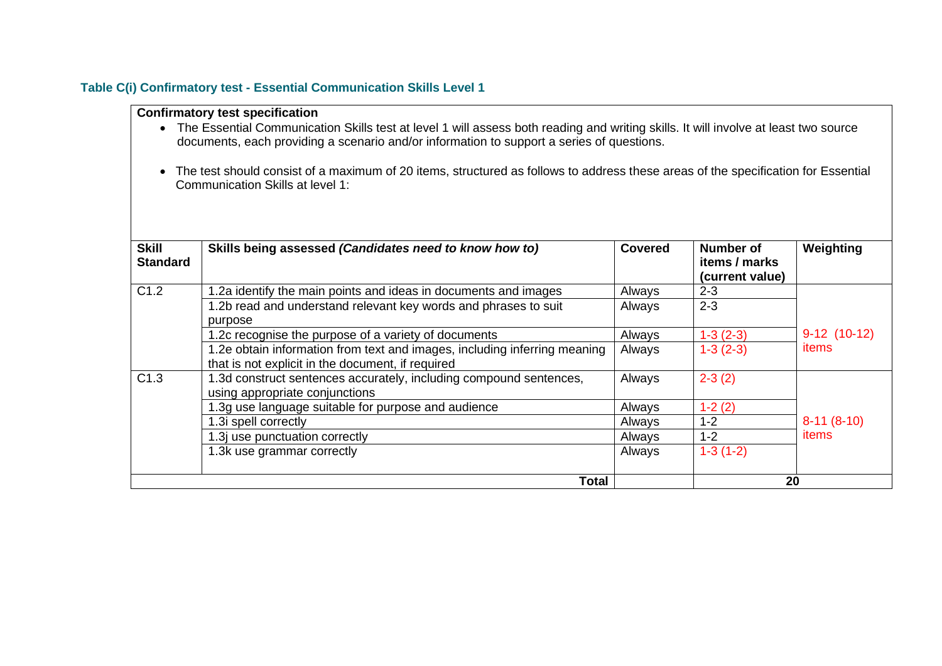#### **Table C(i) Confirmatory test - Essential Communication Skills Level 1**

- The Essential Communication Skills test at level 1 will assess both reading and writing skills. It will involve at least two source documents, each providing a scenario and/or information to support a series of questions.
- The test should consist of a maximum of 20 items, structured as follows to address these areas of the specification for Essential Communication Skills at level 1:

| <b>Skill</b><br><b>Standard</b> | Skills being assessed (Candidates need to know how to)                                                                         | <b>Covered</b> | Number of<br>items / marks<br>(current value) | Weighting     |
|---------------------------------|--------------------------------------------------------------------------------------------------------------------------------|----------------|-----------------------------------------------|---------------|
| C1.2                            | 1.2a identify the main points and ideas in documents and images                                                                | Always         | $2 - 3$                                       |               |
|                                 | 1.2b read and understand relevant key words and phrases to suit<br>purpose                                                     | Always         | $2 - 3$                                       |               |
|                                 | 1.2c recognise the purpose of a variety of documents                                                                           | Always         | $1-3(2-3)$                                    | $9-12(10-12)$ |
|                                 | 1.2e obtain information from text and images, including inferring meaning<br>that is not explicit in the document, if required | Always         | $1-3(2-3)$                                    | items         |
| C1.3                            | 1.3d construct sentences accurately, including compound sentences,<br>using appropriate conjunctions                           | Always         | $2 - 3(2)$                                    |               |
|                                 | 1.3g use language suitable for purpose and audience                                                                            | Always         | $1-2(2)$                                      |               |
|                                 | 1.3i spell correctly                                                                                                           | Always         | $1 - 2$                                       | $8-11(8-10)$  |
|                                 | 1.3j use punctuation correctly                                                                                                 | Always         | $1 - 2$                                       | items         |
|                                 | 1.3k use grammar correctly                                                                                                     | Always         | $1-3(1-2)$                                    |               |
|                                 | Total                                                                                                                          |                |                                               | 20            |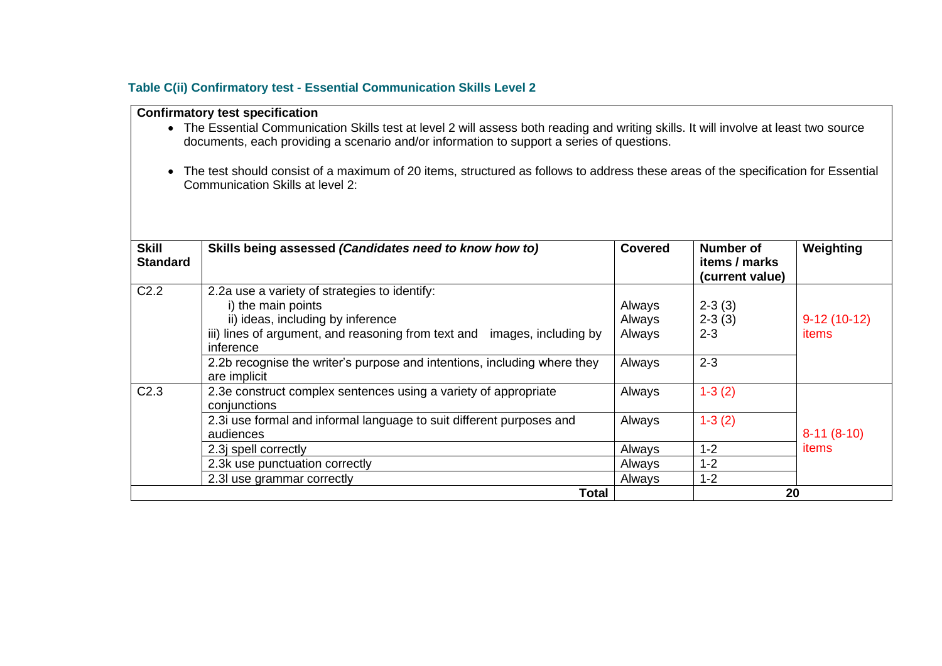#### **Table C(ii) Confirmatory test - Essential Communication Skills Level 2**

- The Essential Communication Skills test at level 2 will assess both reading and writing skills. It will involve at least two source documents, each providing a scenario and/or information to support a series of questions.
- The test should consist of a maximum of 20 items, structured as follows to address these areas of the specification for Essential Communication Skills at level 2:

| <b>Skill</b><br><b>Standard</b> | Skills being assessed (Candidates need to know how to)                                                   | <b>Covered</b>   | Number of<br>items / marks<br>(current value) | Weighting              |
|---------------------------------|----------------------------------------------------------------------------------------------------------|------------------|-----------------------------------------------|------------------------|
| C <sub>2.2</sub>                | 2.2a use a variety of strategies to identify:<br>i) the main points<br>ii) ideas, including by inference | Always<br>Always | $2 - 3(3)$<br>$2-3(3)$                        | $9-12(10-12)$<br>items |
|                                 | iii) lines of argument, and reasoning from text and images, including by<br>inference                    | Always           | $2 - 3$                                       |                        |
|                                 | 2.2b recognise the writer's purpose and intentions, including where they<br>are implicit                 | Always           | $2 - 3$                                       |                        |
| C <sub>2.3</sub>                | 2.3e construct complex sentences using a variety of appropriate<br>conjunctions                          | Always           | $1-3(2)$                                      | $8-11(8-10)$<br>items  |
|                                 | 2.3i use formal and informal language to suit different purposes and<br>audiences                        | Always           | $1-3(2)$                                      |                        |
|                                 | 2.3j spell correctly                                                                                     | Always           | 1-2                                           |                        |
|                                 | 2.3k use punctuation correctly                                                                           | Always           | $1 - 2$                                       |                        |
|                                 | 2.3 use grammar correctly                                                                                | Always           | $1 - 2$                                       |                        |
| Total                           |                                                                                                          |                  | 20                                            |                        |